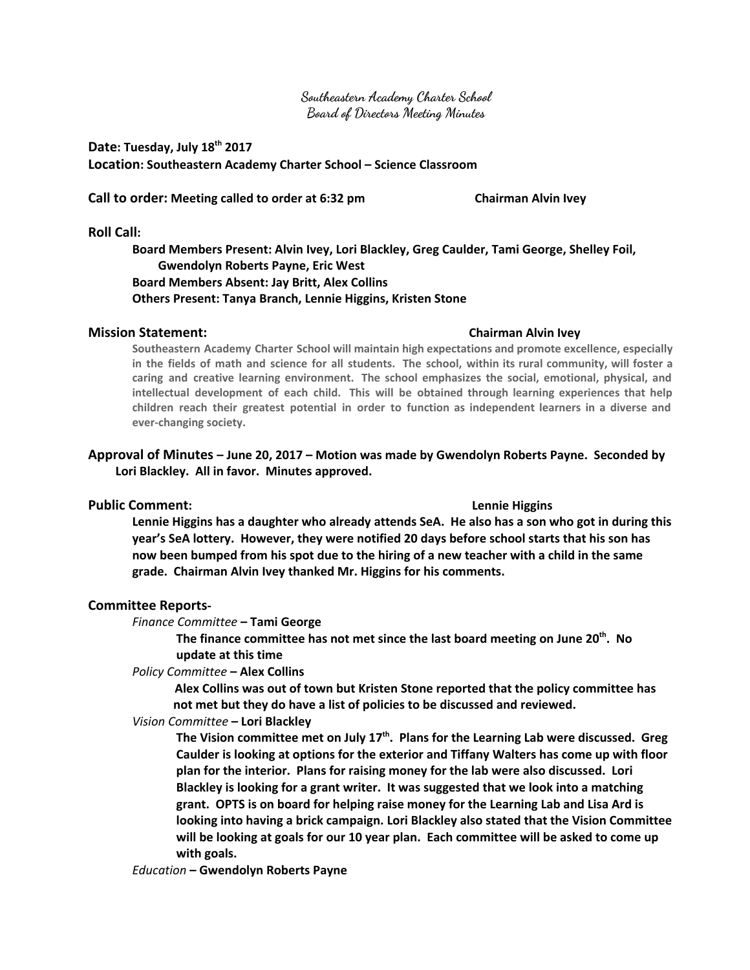**Southeastern Academy Charter School Board of Directors Meeting Minutes**

# **Date: Tuesday, July 18 th 2017 Location: Southeastern Academy Charter School – Science Classroom**

**Call to order: Meeting called to order at 6:32 pm Chairman Alvin Ivey**

### **Roll Call:**

**Board Members Present: Alvin Ivey, Lori Blackley, Greg Caulder, Tami George, Shelley Foil, Gwendolyn Roberts Payne, Eric West Board Members Absent: Jay Britt, Alex Collins Others Present: Tanya Branch, Lennie Higgins, Kristen Stone**

## **Mission Statement: Chairman Alvin Ivey**

**Southeastern Academy Charter School will maintain high expectations and promote excellence, especially** in the fields of math and science for all students. The school, within its rural community, will foster a **caring and creative learning environment. The school emphasizes the social, emotional, physical, and intellectual development of each child. This will be obtained through learning experiences that help children reach their greatest potential in order to function as independent learners in a diverse and ever-changing society.**

## **Approval of Minutes – June 20, 2017 – Motion was made by Gwendolyn Roberts Payne. Seconded by Lori Blackley. All in favor. Minutes approved.**

## **Public Comment: Lennie Higgins**

Lennie Higgins has a daughter who already attends SeA. He also has a son who got in during this **year's SeA lottery. However, they were notified 20 days before school starts that his son has** now been bumped from his spot due to the hiring of a new teacher with a child in the same **grade. Chairman Alvin Ivey thanked Mr. Higgins for his comments.**

## **Committee Reports-**

*Finance Committee* **– Tami George**

**The finance committee has not met since the last board meeting on June 20 th . No update at this time**

*Policy Committee* **– Alex Collins**

**Alex Collins was out of town but Kristen Stone reported that the policy committee has not met but they do have a list of policies to be discussed and reviewed.**

## *Vision Committee* **– Lori Blackley**

**The Vision committee met on July 17 th . Plans for the Learning Lab were discussed. Greg Caulder is looking at options for the exterior and Tiffany Walters has come up with floor plan for the interior. Plans for raising money for the lab were also discussed. Lori Blackley is looking for a grant writer. It was suggested that we look into a matching grant. OPTS is on board for helping raise money for the Learning Lab and Lisa Ard is looking into having a brick campaign. Lori Blackley also stated that the Vision Committee will be looking at goals for our 10 year plan. Each committee will be asked to come up with goals.**

*Education* **– Gwendolyn Roberts Payne**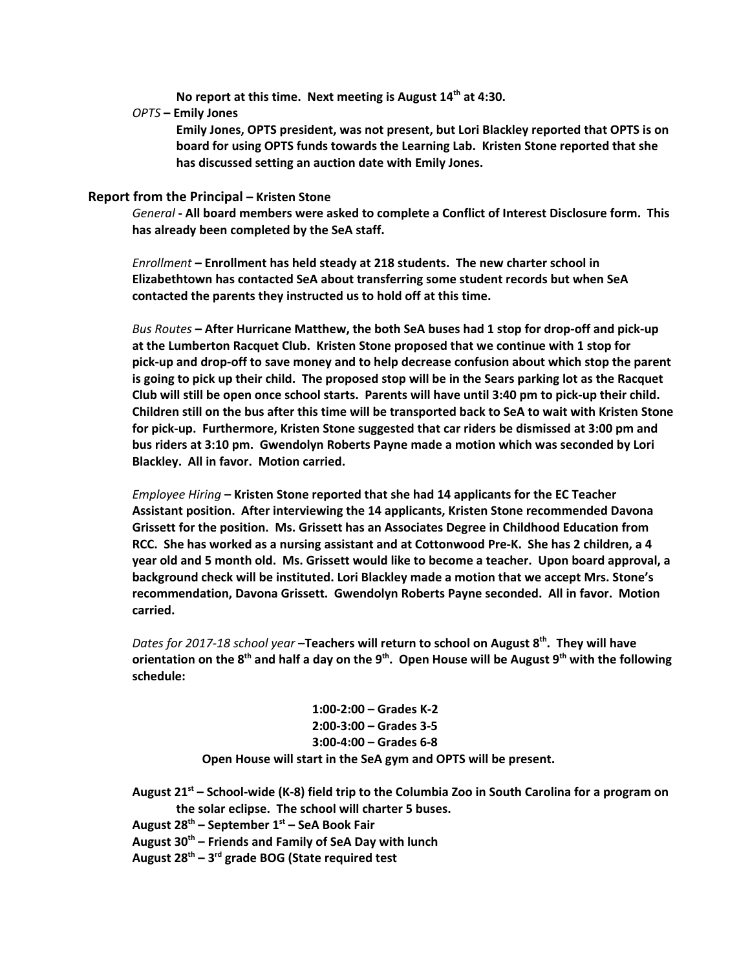**No report at this time. Next meeting is August 14 th at 4:30.**

*OPTS* **– Emily Jones**

**Emily Jones, OPTS president, was not present, but Lori Blackley reported that OPTS is on board for using OPTS funds towards the Learning Lab. Kristen Stone reported that she has discussed setting an auction date with Emily Jones.**

### **Report from the Principal – Kristen Stone**

*General* **- All board members were asked to complete a Conflict of Interest Disclosure form. This has already been completed by the SeA staff.**

*Enrollment* **– Enrollment has held steady at 218 students. The new charter school in Elizabethtown has contacted SeA about transferring some student records but when SeA contacted the parents they instructed us to hold off at this time.**

*Bus Routes* **– After Hurricane Matthew, the both SeA buses had 1 stop for drop-off and pick-up at the Lumberton Racquet Club. Kristen Stone proposed that we continue with 1 stop for pick-up and drop-off to save money and to help decrease confusion about which stop the parent** is going to pick up their child. The proposed stop will be in the Sears parking lot as the Racquet Club will still be open once school starts. Parents will have until 3:40 pm to pick-up their child. Children still on the bus after this time will be transported back to SeA to wait with Kristen Stone **for pick-up. Furthermore, Kristen Stone suggested that car riders be dismissed at 3:00 pm and bus riders at 3:10 pm. Gwendolyn Roberts Payne made a motion which was seconded by Lori Blackley. All in favor. Motion carried.**

*Employee Hiring* **– Kristen Stone reported that she had 14 applicants for the EC Teacher Assistant position. After interviewing the 14 applicants, Kristen Stone recommended Davona Grissett for the position. Ms. Grissett has an Associates Degree in Childhood Education from RCC. She has worked as a nursing assistant and at Cottonwood Pre-K. She has 2 children, a 4 year old and 5 month old. Ms. Grissett would like to become a teacher. Upon board approval, a background check will be instituted. Lori Blackley made a motion that we accept Mrs. Stone's recommendation, Davona Grissett. Gwendolyn Roberts Payne seconded. All in favor. Motion carried.**

*Dates for 2017-18 school year* **–Teachers will return to school on August 8 th . They will have** orientation on the 8<sup>th</sup> and half a day on the 9<sup>th</sup>. Open House will be August 9<sup>th</sup> with the following **schedule:**

> **1:00-2:00 – Grades K-2 2:00-3:00 – Grades 3-5 3:00-4:00 – Grades 6-8 Open House will start in the SeA gym and OPTS will be present.**

August 21<sup>st</sup> – School-wide (K-8) field trip to the Columbia Zoo in South Carolina for a program on **the solar eclipse. The school will charter 5 buses.**

**August 28 th – September 1 st – SeA Book Fair**

- **August 30 th – Friends and Family of SeA Day with lunch**
- **August 28 th – 3 rd grade BOG (State required test**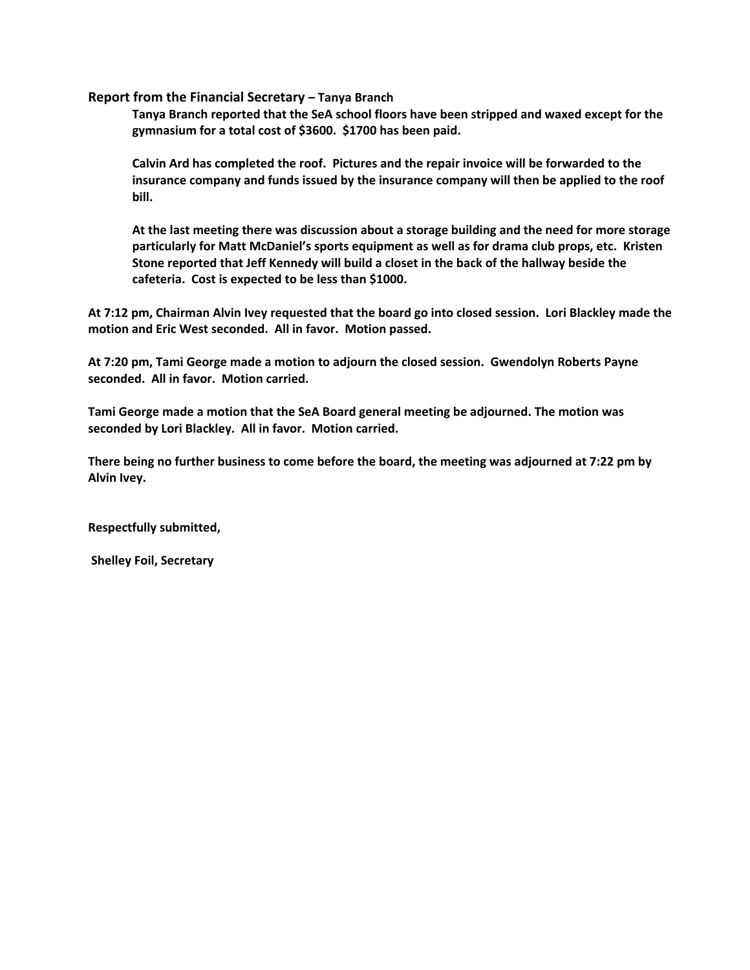**Report from the Financial Secretary – Tanya Branch**

**Tanya Branch reported that the SeA school floors have been stripped and waxed except for the gymnasium for a total cost of \$3600. \$1700 has been paid.**

**Calvin Ard has completed the roof. Pictures and the repair invoice will be forwarded to the insurance company and funds issued by the insurance company will then be applied to the roof bill.**

**At the last meeting there was discussion about a storage building and the need for more storage particularly for Matt McDaniel's sports equipment as well as for drama club props, etc. Kristen Stone reported that Jeff Kennedy will build a closet in the back of the hallway beside the cafeteria. Cost is expected to be less than \$1000.**

At 7:12 pm, Chairman Alvin Ivey requested that the board go into closed session. Lori Blackley made the **motion and Eric West seconded. All in favor. Motion passed.**

**At 7:20 pm, Tami George made a motion to adjourn the closed session. Gwendolyn Roberts Payne seconded. All in favor. Motion carried.**

**Tami George made a motion that the SeA Board general meeting be adjourned. The motion was seconded by Lori Blackley. All in favor. Motion carried.**

**There being no further business to come before the board, the meeting was adjourned at 7:22 pm by Alvin Ivey.**

**Respectfully submitted,**

**Shelley Foil, Secretary**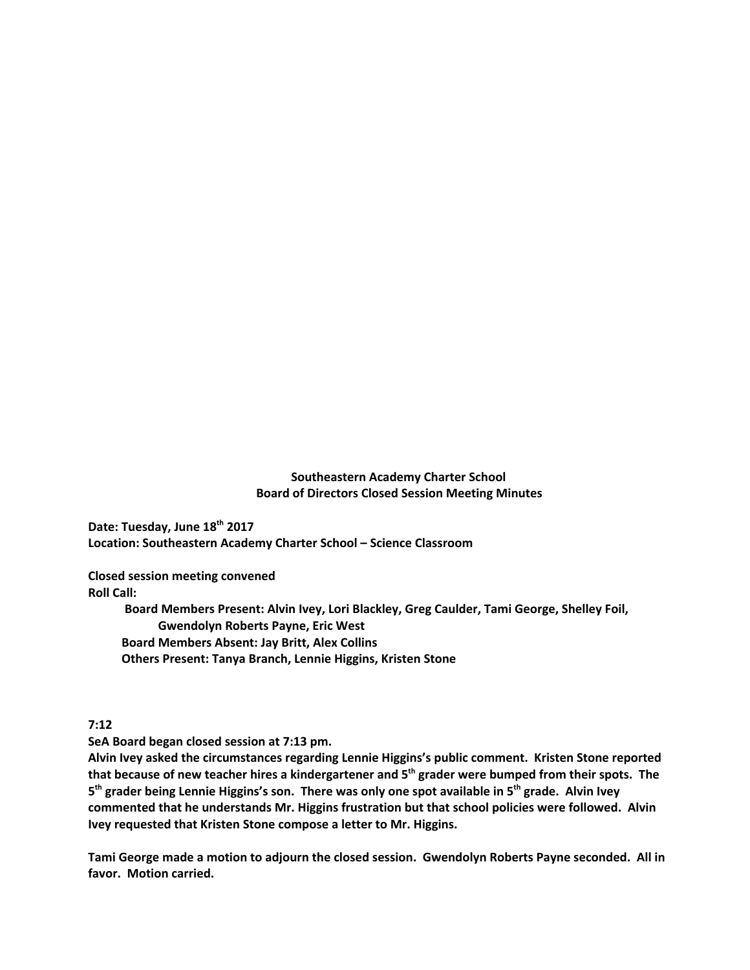## **Southeastern Academy Charter School Board of Directors Closed Session Meeting Minutes**

**Date: Tuesday, June 18 th 2017 Location: Southeastern Academy Charter School – Science Classroom**

**Closed session meeting convened Roll Call:**

> **Board Members Present: Alvin Ivey, Lori Blackley, Greg Caulder, Tami George, Shelley Foil, Gwendolyn Roberts Payne, Eric West Board Members Absent: Jay Britt, Alex Collins Others Present: Tanya Branch, Lennie Higgins, Kristen Stone**

**7:12**

**SeA Board began closed session at 7:13 pm.**

**Alvin Ivey asked the circumstances regarding Lennie Higgins's public comment. Kristen Stone reported** that because of new teacher hires a kindergartener and 5<sup>th</sup> grader were bumped from their spots. The 5<sup>th</sup> grader being Lennie Higgins's son. There was only one spot available in 5<sup>th</sup> grade. Alvin Ivey **commented that he understands Mr. Higgins frustration but that school policies were followed. Alvin Ivey requested that Kristen Stone compose a letter to Mr. Higgins.**

**Tami George made a motion to adjourn the closed session. Gwendolyn Roberts Payne seconded. All in favor. Motion carried.**